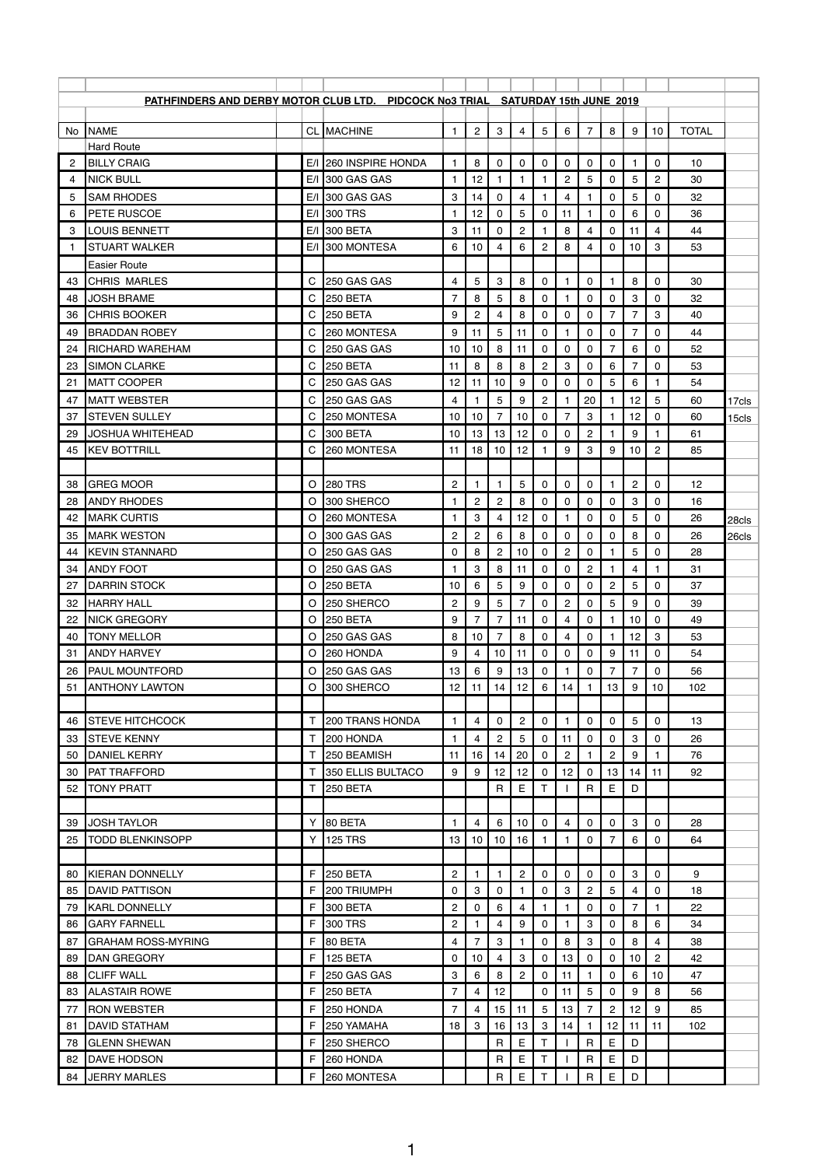| <b>PATHFINDERS AND DERBY MOTOR CLUB LTD. PIDCOCK No3 TRIAL SATURDAY 15th JUNE 2019</b><br><b>NAME</b><br><b>CL MACHINE</b><br>$\overline{c}$<br>3<br>5<br>6<br>$\overline{7}$<br>8<br>9<br><b>TOTAL</b><br>$\overline{4}$<br>10<br>$\mathbf{1}$<br>No.<br><b>Hard Route</b><br><b>BILLY CRAIG</b><br>E/I 260 INSPIRE HONDA<br>8<br>10<br>$\overline{c}$<br>0<br>0<br>0<br>0<br>0<br>0<br>0<br>1<br>1<br>$\overline{c}$<br>$\overline{5}$<br>$\overline{c}$<br>E/I 300 GAS GAS<br>12<br>$\mathbf 0$<br>5<br><b>NICK BULL</b><br>30<br>1<br>1<br>4<br>E/I 300 GAS GAS<br>3<br>$\overline{\mathbf{4}}$<br>5<br><b>SAM RHODES</b><br>14<br>0<br>4<br>0<br>0<br>32<br>5<br>1<br>5<br><b>PETE RUSCOE</b><br>E/I 300 TRS<br>12<br>0<br>6<br>36<br>0<br>0<br>11<br>0<br>6<br>1<br>$\overline{c}$<br><b>LOUIS BENNETT</b><br>E/I 300 BETA<br>3<br>11<br>8<br>4<br>3<br>0<br>4<br>0<br>44<br>11<br>E/I 300 MONTESA<br>6<br>6<br>$\overline{c}$<br>8<br>$\mathbf 0$<br>3<br><b>STUART WALKER</b><br>10<br>4<br>10<br>53<br>$\overline{4}$<br><b>Easier Route</b><br>5<br>8<br>C<br>3<br>8<br><b>CHRIS MARLES</b><br>250 GAS GAS<br>4<br>0<br>0<br>30<br>0<br>43<br>8<br>5<br><b>JOSH BRAME</b><br>C<br>250 BETA<br>7<br>8<br>0<br>0<br>3<br>32<br>0<br>0<br>48<br>3<br>C<br>250 BETA<br>$\overline{c}$<br>8<br>$\overline{7}$<br>$\overline{7}$<br><b>CHRIS BOOKER</b><br>9<br>4<br>$\mathbf{0}$<br>0<br>40<br>0<br>36<br>5<br>$\mathsf C$<br>9<br>$\overline{7}$<br><b>BRADDAN ROBEY</b><br>260 MONTESA<br>11<br>11<br>0<br>$\mathbf 0$<br>0<br>0<br>44<br>49<br>C<br>6<br>250 GAS GAS<br>8<br>$\mathbf{0}$<br>0<br>7<br>0<br>52<br>24<br><b>RICHARD WAREHAM</b><br>10<br>10<br>11<br>0<br>$\overline{c}$<br>С<br>250 BETA<br>8<br>8<br>8<br>3<br>6<br>7<br>53<br>23<br><b>SIMON CLARKE</b><br>11<br>0<br>0<br>$\mathsf{C}$<br>9<br>5<br>10<br>0<br>6<br><b>MATT COOPER</b><br>250 GAS GAS<br>12<br>11<br>0<br>0<br>54<br>21<br>1<br>$\overline{5}$<br>20<br>5<br><b>MATT WEBSTER</b><br>250 GAS GAS<br>9<br>$\overline{c}$<br>12<br>С<br>4<br>60<br>47<br>1<br>17cls<br>C<br>3<br>12<br><b>STEVEN SULLEY</b><br>$\overline{7}$<br>7<br>0<br>37<br>250 MONTESA<br>10<br>10<br>10<br>0<br>60<br>15cls<br>C<br>300 BETA<br>$\overline{c}$<br>9<br><b>JOSHUA WHITEHEAD</b><br>13<br>13<br>12<br>0<br>61<br>29<br>10<br>0<br>$\ensuremath{\mathsf{3}}$<br>$\overline{c}$<br>C<br>18<br>12<br>9<br>9<br>85<br><b>KEV BOTTRILL</b><br>260 MONTESA<br>10<br>10<br>11<br>45<br><b>280 TRS</b><br>$\overline{c}$<br>5<br>$\overline{c}$<br><b>GREG MOOR</b><br>$\circ$<br>0<br>0<br>0<br>0<br>12<br>38<br>1<br>1<br>300 SHERCO<br>$\overline{2}$<br>$\overline{c}$<br>8<br><b>ANDY RHODES</b><br>$\circ$<br>$\mathbf{0}$<br>3<br>28<br>0<br>0<br>0<br>0<br>16<br>1<br>$\circ$<br>3<br>5<br>26<br><b>MARK CURTIS</b><br>260 MONTESA<br>12<br>0<br>0<br>0<br>$\mathbf{0}$<br>4<br>42<br>1<br>28cls<br>$\overline{c}$<br>8<br>$\boldsymbol{2}$<br>$\,6\,$<br>$\bf 8$<br><b>MARK WESTON</b><br>$\mathsf{O}\xspace$<br>$\mathsf{O}\xspace$<br>$\mathsf{O}\xspace$<br>$\pmb{0}$<br>35<br>$\mathsf O$<br>300 GAS GAS<br>$\overline{0}$<br>26<br>26cls<br>8<br>$\overline{2}$<br>$\mathbf 0$<br>$\overline{c}$<br>$\mathbf 0$<br>5<br><b>KEVIN STANNARD</b><br>$\circ$<br>10<br>0<br>250 GAS GAS<br>0<br>28<br>44<br>3<br>8<br>$\overline{2}$<br>$\circ$<br>250 GAS GAS<br>11<br>0<br>31<br>34<br><b>ANDY FOOT</b><br>0<br>4<br>1<br>$\mathbf{1}$<br>9<br>$\overline{2}$<br>5<br>$\circ$<br>250 BETA<br>6<br>5<br>$\mathbf 0$<br>0<br>0<br>37<br><b>DARRIN STOCK</b><br>10<br>0<br>27<br>5<br>$\overline{c}$<br>5<br><b>HARRY HALL</b><br>250 SHERCO<br>$\overline{c}$<br>9<br>$\overline{7}$<br>0<br>9<br>39<br>$\circ$<br>0<br>0<br>32<br>9<br><b>NICK GREGORY</b><br>$\circ$<br>250 BETA<br>$\overline{7}$<br>0<br>49<br>22<br>11<br>0<br>4<br>0<br>10<br>7<br>8<br>3<br><b>TONY MELLOR</b><br>$\circ$<br>250 GAS GAS<br>8<br>10<br>0<br>12<br>53<br>7<br>0<br>4<br>40<br>1.<br>9<br>10<br>$\mathbf 0$<br>$\mathbf 0$<br>9<br>0<br><b>ANDY HARVEY</b><br>$\circ$<br>260 HONDA<br>4<br>11<br>0<br>11<br>54<br>31<br>$\circ$<br>250 GAS GAS<br>13<br>6<br>9<br>13<br>$\mathbf 0$<br>$\overline{7}$<br>$\overline{7}$<br>0<br>56<br>26<br><b>PAUL MOUNTFORD</b><br>0<br>$\circ$<br>300 SHERCO<br>12<br>12<br>14<br>13<br>9<br>10<br>51<br><b>ANTHONY LAWTON</b><br>11<br>14<br>6<br>102<br>$\overline{c}$<br>200 TRANS HONDA<br>$\overline{4}$<br>$\mathbf 0$<br>$\mathbf 0$<br>$\mathbf 0$<br>5<br>0<br><b>STEVE HITCHCOCK</b><br>0<br>13<br>$\mathbf{1}$<br>$\mathbf{1}$<br>46<br>$\mathsf T$<br>$\mathbf{2}$<br><b>STEVE KENNY</b><br>200 HONDA<br>5<br>3<br>26<br>4<br>11<br>$\mathbf 0$<br>$\mathbf{0}$<br>0<br>33<br>$\mathbf{1}$<br>0<br>20<br>$\overline{c}$<br>$\overline{c}$<br>9<br>Τ<br>76<br>50<br><b>DANIEL KERRY</b><br>250 BEAMISH<br>11<br>16<br>14<br>0<br>350 ELLIS BULTACO<br>12<br><b>PAT TRAFFORD</b><br>$\mathsf{T}$<br>9<br>9<br>12<br>12<br>0<br>13<br>92<br>30<br>0<br>14<br>11<br>T.<br>E<br>E<br><b>TONY PRATT</b><br>250 BETA<br>$\mathsf{R}$<br>Т<br>$\mathsf{R}$<br>D<br>52<br>80 BETA<br>6<br>3<br>JOSH TAYLOR<br>Y<br>1<br>4<br>10<br>4<br>0<br>0<br>0<br>28<br>39<br>0<br>Y<br>6<br>25<br><b>TODD BLENKINSOPP</b><br><b>125 TRS</b><br>13<br>10<br>10<br>16<br>0<br>$\overline{7}$<br>0<br>64<br>$\mathsf F$<br>250 BETA<br>$\overline{c}$<br>$\overline{c}$<br>$\mathbf 0$<br>3<br>9<br>KIERAN DONNELLY<br>0<br>0<br>0<br>0<br>80<br>$\mathbf{1}$<br>1<br>F<br>3<br>3<br>$\overline{c}$<br>5<br>200 TRIUMPH<br>0<br>0<br>0<br>18<br>85<br><b>DAVID PATTISON</b><br>0<br>4<br>$\overline{c}$<br>F<br>6<br><b>KARL DONNELLY</b><br>300 BETA<br>0<br>$\overline{\mathbf{4}}$<br>0<br>$\mathbf{0}$<br>$\overline{7}$<br>22<br>79<br>1<br>1<br>$\mathbf{3}$<br>F<br>$\overline{c}$<br>9<br>8<br>6<br>34<br><b>GARY FARNELL</b><br>300 TRS<br>4<br>0<br>$\mathbf{0}$<br>86<br>$\mathsf F$<br>3<br>80 BETA<br>8<br>3<br>$\mathbf 0$<br>8<br>38<br>87<br><b>GRAHAM ROSS-MYRING</b><br>4<br>$\overline{7}$<br>0<br>4<br>$\overline{2}$<br>$\mathsf{F}$<br>3<br>13<br><b>DAN GREGORY</b><br>125 BETA<br>0<br>10<br>4<br>10<br>42<br>89<br>0<br>0<br>0<br>F<br>3<br>8<br>$\overline{c}$<br><b>CLIFF WALL</b><br>250 GAS GAS<br>6<br>11<br>0<br>6<br>10<br>88<br>0<br>47<br>F.<br>$5\phantom{.0}$<br>$\overline{7}$<br>12 <sup>°</sup><br>9<br>8<br><b>250 BETA</b><br>$\overline{4}$<br>11<br>0<br><b>ALASTAIR ROWE</b><br>0<br>56<br>83<br><b>RON WEBSTER</b><br>F<br>250 HONDA<br>$\overline{7}$<br>15<br>5<br>$\overline{c}$<br>12<br>9<br>85<br>4<br>11<br>13<br>$\overline{7}$<br>77<br>F<br>$\mathbf{3}$<br><b>DAVID STATHAM</b><br>250 YAMAHA<br>18<br>16<br>13<br>3<br>14<br>12 <sub>2</sub><br>11<br>102<br>81<br>11<br>Е<br>E<br>F<br>$\mathsf{R}$<br>$\mathsf{R}$<br>$\mathsf{D}$<br><b>GLENN SHEWAN</b><br>250 SHERCO<br>т<br>78<br>Е<br>E<br>F<br>$\mathsf R$<br>$\mathsf D$<br><b>DAVE HODSON</b><br>260 HONDA<br>$\mathsf{R}$<br>82 |    |                     |   |             |  |              |   |  |              |             |             |  |  |
|-------------------------------------------------------------------------------------------------------------------------------------------------------------------------------------------------------------------------------------------------------------------------------------------------------------------------------------------------------------------------------------------------------------------------------------------------------------------------------------------------------------------------------------------------------------------------------------------------------------------------------------------------------------------------------------------------------------------------------------------------------------------------------------------------------------------------------------------------------------------------------------------------------------------------------------------------------------------------------------------------------------------------------------------------------------------------------------------------------------------------------------------------------------------------------------------------------------------------------------------------------------------------------------------------------------------------------------------------------------------------------------------------------------------------------------------------------------------------------------------------------------------------------------------------------------------------------------------------------------------------------------------------------------------------------------------------------------------------------------------------------------------------------------------------------------------------------------------------------------------------------------------------------------------------------------------------------------------------------------------------------------------------------------------------------------------------------------------------------------------------------------------------------------------------------------------------------------------------------------------------------------------------------------------------------------------------------------------------------------------------------------------------------------------------------------------------------------------------------------------------------------------------------------------------------------------------------------------------------------------------------------------------------------------------------------------------------------------------------------------------------------------------------------------------------------------------------------------------------------------------------------------------------------------------------------------------------------------------------------------------------------------------------------------------------------------------------------------------------------------------------------------------------------------------------------------------------------------------------------------------------------------------------------------------------------------------------------------------------------------------------------------------------------------------------------------------------------------------------------------------------------------------------------------------------------------------------------------------------------------------------------------------------------------------------------------------------------------------------------------------------------------------------------------------------------------------------------------------------------------------------------------------------------------------------------------------------------------------------------------------------------------------------------------------------------------------------------------------------------------------------------------------------------------------------------------------------------------------------------------------------------------------------------------------------------------------------------------------------------------------------------------------------------------------------------------------------------------------------------------------------------------------------------------------------------------------------------------------------------------------------------------------------------------------------------------------------------------------------------------------------------------------------------------------------------------------------------------------------------------------------------------------------------------------------------------------------------------------------------------------------------------------------------------------------------------------------------------------------------------------------------------------------------------------------------------------------------------------------------------------------------------------------------------------------------------------------------------------------------------------------------------------------------------------------------------------------------------------------------------------------------------------------------------------------------------------------------------------------------------------------------------------------------------------------------------------------------------------------------------------------------------------------------------------------------------------------------------------------------------------------------------------------------------------------------------------------------------------------------------------------------------------------------------------------------------------------------------------------------------------------------------------------------------------------------------------------------------------------------------------------------------------------------------------------------------------------------------------------------------------------------------------------------------------------------------------------------------------------------------------------------------------------------------------------------------------------------------------------------------------------------------------------------------------------------------------------------------------------------------------------------------------------------------------------------------------------------------------------------------------------------------------------------------------------------------------|----|---------------------|---|-------------|--|--------------|---|--|--------------|-------------|-------------|--|--|
|                                                                                                                                                                                                                                                                                                                                                                                                                                                                                                                                                                                                                                                                                                                                                                                                                                                                                                                                                                                                                                                                                                                                                                                                                                                                                                                                                                                                                                                                                                                                                                                                                                                                                                                                                                                                                                                                                                                                                                                                                                                                                                                                                                                                                                                                                                                                                                                                                                                                                                                                                                                                                                                                                                                                                                                                                                                                                                                                                                                                                                                                                                                                                                                                                                                                                                                                                                                                                                                                                                                                                                                                                                                                                                                                                                                                                                                                                                                                                                                                                                                                                                                                                                                                                                                                                                                                                                                                                                                                                                                                                                                                                                                                                                                                                                                                                                                                                                                                                                                                                                                                                                                                                                                                                                                                                                                                                                                                                                                                                                                                                                                                                                                                                                                                                                                                                                                                                                                                                                                                                                                                                                                                                                                                                                                                                                                                                                                                                                                                                                                                                                                                                                                                                                                                                                                                                                                                                                                                                 |    |                     |   |             |  |              |   |  |              |             |             |  |  |
|                                                                                                                                                                                                                                                                                                                                                                                                                                                                                                                                                                                                                                                                                                                                                                                                                                                                                                                                                                                                                                                                                                                                                                                                                                                                                                                                                                                                                                                                                                                                                                                                                                                                                                                                                                                                                                                                                                                                                                                                                                                                                                                                                                                                                                                                                                                                                                                                                                                                                                                                                                                                                                                                                                                                                                                                                                                                                                                                                                                                                                                                                                                                                                                                                                                                                                                                                                                                                                                                                                                                                                                                                                                                                                                                                                                                                                                                                                                                                                                                                                                                                                                                                                                                                                                                                                                                                                                                                                                                                                                                                                                                                                                                                                                                                                                                                                                                                                                                                                                                                                                                                                                                                                                                                                                                                                                                                                                                                                                                                                                                                                                                                                                                                                                                                                                                                                                                                                                                                                                                                                                                                                                                                                                                                                                                                                                                                                                                                                                                                                                                                                                                                                                                                                                                                                                                                                                                                                                                                 |    |                     |   |             |  |              |   |  |              |             |             |  |  |
|                                                                                                                                                                                                                                                                                                                                                                                                                                                                                                                                                                                                                                                                                                                                                                                                                                                                                                                                                                                                                                                                                                                                                                                                                                                                                                                                                                                                                                                                                                                                                                                                                                                                                                                                                                                                                                                                                                                                                                                                                                                                                                                                                                                                                                                                                                                                                                                                                                                                                                                                                                                                                                                                                                                                                                                                                                                                                                                                                                                                                                                                                                                                                                                                                                                                                                                                                                                                                                                                                                                                                                                                                                                                                                                                                                                                                                                                                                                                                                                                                                                                                                                                                                                                                                                                                                                                                                                                                                                                                                                                                                                                                                                                                                                                                                                                                                                                                                                                                                                                                                                                                                                                                                                                                                                                                                                                                                                                                                                                                                                                                                                                                                                                                                                                                                                                                                                                                                                                                                                                                                                                                                                                                                                                                                                                                                                                                                                                                                                                                                                                                                                                                                                                                                                                                                                                                                                                                                                                                 |    |                     |   |             |  |              |   |  |              |             |             |  |  |
|                                                                                                                                                                                                                                                                                                                                                                                                                                                                                                                                                                                                                                                                                                                                                                                                                                                                                                                                                                                                                                                                                                                                                                                                                                                                                                                                                                                                                                                                                                                                                                                                                                                                                                                                                                                                                                                                                                                                                                                                                                                                                                                                                                                                                                                                                                                                                                                                                                                                                                                                                                                                                                                                                                                                                                                                                                                                                                                                                                                                                                                                                                                                                                                                                                                                                                                                                                                                                                                                                                                                                                                                                                                                                                                                                                                                                                                                                                                                                                                                                                                                                                                                                                                                                                                                                                                                                                                                                                                                                                                                                                                                                                                                                                                                                                                                                                                                                                                                                                                                                                                                                                                                                                                                                                                                                                                                                                                                                                                                                                                                                                                                                                                                                                                                                                                                                                                                                                                                                                                                                                                                                                                                                                                                                                                                                                                                                                                                                                                                                                                                                                                                                                                                                                                                                                                                                                                                                                                                                 |    |                     |   |             |  |              |   |  |              |             |             |  |  |
|                                                                                                                                                                                                                                                                                                                                                                                                                                                                                                                                                                                                                                                                                                                                                                                                                                                                                                                                                                                                                                                                                                                                                                                                                                                                                                                                                                                                                                                                                                                                                                                                                                                                                                                                                                                                                                                                                                                                                                                                                                                                                                                                                                                                                                                                                                                                                                                                                                                                                                                                                                                                                                                                                                                                                                                                                                                                                                                                                                                                                                                                                                                                                                                                                                                                                                                                                                                                                                                                                                                                                                                                                                                                                                                                                                                                                                                                                                                                                                                                                                                                                                                                                                                                                                                                                                                                                                                                                                                                                                                                                                                                                                                                                                                                                                                                                                                                                                                                                                                                                                                                                                                                                                                                                                                                                                                                                                                                                                                                                                                                                                                                                                                                                                                                                                                                                                                                                                                                                                                                                                                                                                                                                                                                                                                                                                                                                                                                                                                                                                                                                                                                                                                                                                                                                                                                                                                                                                                                                 |    |                     |   |             |  |              |   |  |              |             |             |  |  |
|                                                                                                                                                                                                                                                                                                                                                                                                                                                                                                                                                                                                                                                                                                                                                                                                                                                                                                                                                                                                                                                                                                                                                                                                                                                                                                                                                                                                                                                                                                                                                                                                                                                                                                                                                                                                                                                                                                                                                                                                                                                                                                                                                                                                                                                                                                                                                                                                                                                                                                                                                                                                                                                                                                                                                                                                                                                                                                                                                                                                                                                                                                                                                                                                                                                                                                                                                                                                                                                                                                                                                                                                                                                                                                                                                                                                                                                                                                                                                                                                                                                                                                                                                                                                                                                                                                                                                                                                                                                                                                                                                                                                                                                                                                                                                                                                                                                                                                                                                                                                                                                                                                                                                                                                                                                                                                                                                                                                                                                                                                                                                                                                                                                                                                                                                                                                                                                                                                                                                                                                                                                                                                                                                                                                                                                                                                                                                                                                                                                                                                                                                                                                                                                                                                                                                                                                                                                                                                                                                 |    |                     |   |             |  |              |   |  |              |             |             |  |  |
|                                                                                                                                                                                                                                                                                                                                                                                                                                                                                                                                                                                                                                                                                                                                                                                                                                                                                                                                                                                                                                                                                                                                                                                                                                                                                                                                                                                                                                                                                                                                                                                                                                                                                                                                                                                                                                                                                                                                                                                                                                                                                                                                                                                                                                                                                                                                                                                                                                                                                                                                                                                                                                                                                                                                                                                                                                                                                                                                                                                                                                                                                                                                                                                                                                                                                                                                                                                                                                                                                                                                                                                                                                                                                                                                                                                                                                                                                                                                                                                                                                                                                                                                                                                                                                                                                                                                                                                                                                                                                                                                                                                                                                                                                                                                                                                                                                                                                                                                                                                                                                                                                                                                                                                                                                                                                                                                                                                                                                                                                                                                                                                                                                                                                                                                                                                                                                                                                                                                                                                                                                                                                                                                                                                                                                                                                                                                                                                                                                                                                                                                                                                                                                                                                                                                                                                                                                                                                                                                                 |    |                     |   |             |  |              |   |  |              |             |             |  |  |
|                                                                                                                                                                                                                                                                                                                                                                                                                                                                                                                                                                                                                                                                                                                                                                                                                                                                                                                                                                                                                                                                                                                                                                                                                                                                                                                                                                                                                                                                                                                                                                                                                                                                                                                                                                                                                                                                                                                                                                                                                                                                                                                                                                                                                                                                                                                                                                                                                                                                                                                                                                                                                                                                                                                                                                                                                                                                                                                                                                                                                                                                                                                                                                                                                                                                                                                                                                                                                                                                                                                                                                                                                                                                                                                                                                                                                                                                                                                                                                                                                                                                                                                                                                                                                                                                                                                                                                                                                                                                                                                                                                                                                                                                                                                                                                                                                                                                                                                                                                                                                                                                                                                                                                                                                                                                                                                                                                                                                                                                                                                                                                                                                                                                                                                                                                                                                                                                                                                                                                                                                                                                                                                                                                                                                                                                                                                                                                                                                                                                                                                                                                                                                                                                                                                                                                                                                                                                                                                                                 |    |                     |   |             |  |              |   |  |              |             |             |  |  |
|                                                                                                                                                                                                                                                                                                                                                                                                                                                                                                                                                                                                                                                                                                                                                                                                                                                                                                                                                                                                                                                                                                                                                                                                                                                                                                                                                                                                                                                                                                                                                                                                                                                                                                                                                                                                                                                                                                                                                                                                                                                                                                                                                                                                                                                                                                                                                                                                                                                                                                                                                                                                                                                                                                                                                                                                                                                                                                                                                                                                                                                                                                                                                                                                                                                                                                                                                                                                                                                                                                                                                                                                                                                                                                                                                                                                                                                                                                                                                                                                                                                                                                                                                                                                                                                                                                                                                                                                                                                                                                                                                                                                                                                                                                                                                                                                                                                                                                                                                                                                                                                                                                                                                                                                                                                                                                                                                                                                                                                                                                                                                                                                                                                                                                                                                                                                                                                                                                                                                                                                                                                                                                                                                                                                                                                                                                                                                                                                                                                                                                                                                                                                                                                                                                                                                                                                                                                                                                                                                 |    |                     |   |             |  |              |   |  |              |             |             |  |  |
|                                                                                                                                                                                                                                                                                                                                                                                                                                                                                                                                                                                                                                                                                                                                                                                                                                                                                                                                                                                                                                                                                                                                                                                                                                                                                                                                                                                                                                                                                                                                                                                                                                                                                                                                                                                                                                                                                                                                                                                                                                                                                                                                                                                                                                                                                                                                                                                                                                                                                                                                                                                                                                                                                                                                                                                                                                                                                                                                                                                                                                                                                                                                                                                                                                                                                                                                                                                                                                                                                                                                                                                                                                                                                                                                                                                                                                                                                                                                                                                                                                                                                                                                                                                                                                                                                                                                                                                                                                                                                                                                                                                                                                                                                                                                                                                                                                                                                                                                                                                                                                                                                                                                                                                                                                                                                                                                                                                                                                                                                                                                                                                                                                                                                                                                                                                                                                                                                                                                                                                                                                                                                                                                                                                                                                                                                                                                                                                                                                                                                                                                                                                                                                                                                                                                                                                                                                                                                                                                                 |    |                     |   |             |  |              |   |  |              |             |             |  |  |
|                                                                                                                                                                                                                                                                                                                                                                                                                                                                                                                                                                                                                                                                                                                                                                                                                                                                                                                                                                                                                                                                                                                                                                                                                                                                                                                                                                                                                                                                                                                                                                                                                                                                                                                                                                                                                                                                                                                                                                                                                                                                                                                                                                                                                                                                                                                                                                                                                                                                                                                                                                                                                                                                                                                                                                                                                                                                                                                                                                                                                                                                                                                                                                                                                                                                                                                                                                                                                                                                                                                                                                                                                                                                                                                                                                                                                                                                                                                                                                                                                                                                                                                                                                                                                                                                                                                                                                                                                                                                                                                                                                                                                                                                                                                                                                                                                                                                                                                                                                                                                                                                                                                                                                                                                                                                                                                                                                                                                                                                                                                                                                                                                                                                                                                                                                                                                                                                                                                                                                                                                                                                                                                                                                                                                                                                                                                                                                                                                                                                                                                                                                                                                                                                                                                                                                                                                                                                                                                                                 |    |                     |   |             |  |              |   |  |              |             |             |  |  |
|                                                                                                                                                                                                                                                                                                                                                                                                                                                                                                                                                                                                                                                                                                                                                                                                                                                                                                                                                                                                                                                                                                                                                                                                                                                                                                                                                                                                                                                                                                                                                                                                                                                                                                                                                                                                                                                                                                                                                                                                                                                                                                                                                                                                                                                                                                                                                                                                                                                                                                                                                                                                                                                                                                                                                                                                                                                                                                                                                                                                                                                                                                                                                                                                                                                                                                                                                                                                                                                                                                                                                                                                                                                                                                                                                                                                                                                                                                                                                                                                                                                                                                                                                                                                                                                                                                                                                                                                                                                                                                                                                                                                                                                                                                                                                                                                                                                                                                                                                                                                                                                                                                                                                                                                                                                                                                                                                                                                                                                                                                                                                                                                                                                                                                                                                                                                                                                                                                                                                                                                                                                                                                                                                                                                                                                                                                                                                                                                                                                                                                                                                                                                                                                                                                                                                                                                                                                                                                                                                 |    |                     |   |             |  |              |   |  |              |             |             |  |  |
|                                                                                                                                                                                                                                                                                                                                                                                                                                                                                                                                                                                                                                                                                                                                                                                                                                                                                                                                                                                                                                                                                                                                                                                                                                                                                                                                                                                                                                                                                                                                                                                                                                                                                                                                                                                                                                                                                                                                                                                                                                                                                                                                                                                                                                                                                                                                                                                                                                                                                                                                                                                                                                                                                                                                                                                                                                                                                                                                                                                                                                                                                                                                                                                                                                                                                                                                                                                                                                                                                                                                                                                                                                                                                                                                                                                                                                                                                                                                                                                                                                                                                                                                                                                                                                                                                                                                                                                                                                                                                                                                                                                                                                                                                                                                                                                                                                                                                                                                                                                                                                                                                                                                                                                                                                                                                                                                                                                                                                                                                                                                                                                                                                                                                                                                                                                                                                                                                                                                                                                                                                                                                                                                                                                                                                                                                                                                                                                                                                                                                                                                                                                                                                                                                                                                                                                                                                                                                                                                                 |    |                     |   |             |  |              |   |  |              |             |             |  |  |
|                                                                                                                                                                                                                                                                                                                                                                                                                                                                                                                                                                                                                                                                                                                                                                                                                                                                                                                                                                                                                                                                                                                                                                                                                                                                                                                                                                                                                                                                                                                                                                                                                                                                                                                                                                                                                                                                                                                                                                                                                                                                                                                                                                                                                                                                                                                                                                                                                                                                                                                                                                                                                                                                                                                                                                                                                                                                                                                                                                                                                                                                                                                                                                                                                                                                                                                                                                                                                                                                                                                                                                                                                                                                                                                                                                                                                                                                                                                                                                                                                                                                                                                                                                                                                                                                                                                                                                                                                                                                                                                                                                                                                                                                                                                                                                                                                                                                                                                                                                                                                                                                                                                                                                                                                                                                                                                                                                                                                                                                                                                                                                                                                                                                                                                                                                                                                                                                                                                                                                                                                                                                                                                                                                                                                                                                                                                                                                                                                                                                                                                                                                                                                                                                                                                                                                                                                                                                                                                                                 |    |                     |   |             |  |              |   |  |              |             |             |  |  |
|                                                                                                                                                                                                                                                                                                                                                                                                                                                                                                                                                                                                                                                                                                                                                                                                                                                                                                                                                                                                                                                                                                                                                                                                                                                                                                                                                                                                                                                                                                                                                                                                                                                                                                                                                                                                                                                                                                                                                                                                                                                                                                                                                                                                                                                                                                                                                                                                                                                                                                                                                                                                                                                                                                                                                                                                                                                                                                                                                                                                                                                                                                                                                                                                                                                                                                                                                                                                                                                                                                                                                                                                                                                                                                                                                                                                                                                                                                                                                                                                                                                                                                                                                                                                                                                                                                                                                                                                                                                                                                                                                                                                                                                                                                                                                                                                                                                                                                                                                                                                                                                                                                                                                                                                                                                                                                                                                                                                                                                                                                                                                                                                                                                                                                                                                                                                                                                                                                                                                                                                                                                                                                                                                                                                                                                                                                                                                                                                                                                                                                                                                                                                                                                                                                                                                                                                                                                                                                                                                 |    |                     |   |             |  |              |   |  |              |             |             |  |  |
|                                                                                                                                                                                                                                                                                                                                                                                                                                                                                                                                                                                                                                                                                                                                                                                                                                                                                                                                                                                                                                                                                                                                                                                                                                                                                                                                                                                                                                                                                                                                                                                                                                                                                                                                                                                                                                                                                                                                                                                                                                                                                                                                                                                                                                                                                                                                                                                                                                                                                                                                                                                                                                                                                                                                                                                                                                                                                                                                                                                                                                                                                                                                                                                                                                                                                                                                                                                                                                                                                                                                                                                                                                                                                                                                                                                                                                                                                                                                                                                                                                                                                                                                                                                                                                                                                                                                                                                                                                                                                                                                                                                                                                                                                                                                                                                                                                                                                                                                                                                                                                                                                                                                                                                                                                                                                                                                                                                                                                                                                                                                                                                                                                                                                                                                                                                                                                                                                                                                                                                                                                                                                                                                                                                                                                                                                                                                                                                                                                                                                                                                                                                                                                                                                                                                                                                                                                                                                                                                                 |    |                     |   |             |  |              |   |  |              |             |             |  |  |
|                                                                                                                                                                                                                                                                                                                                                                                                                                                                                                                                                                                                                                                                                                                                                                                                                                                                                                                                                                                                                                                                                                                                                                                                                                                                                                                                                                                                                                                                                                                                                                                                                                                                                                                                                                                                                                                                                                                                                                                                                                                                                                                                                                                                                                                                                                                                                                                                                                                                                                                                                                                                                                                                                                                                                                                                                                                                                                                                                                                                                                                                                                                                                                                                                                                                                                                                                                                                                                                                                                                                                                                                                                                                                                                                                                                                                                                                                                                                                                                                                                                                                                                                                                                                                                                                                                                                                                                                                                                                                                                                                                                                                                                                                                                                                                                                                                                                                                                                                                                                                                                                                                                                                                                                                                                                                                                                                                                                                                                                                                                                                                                                                                                                                                                                                                                                                                                                                                                                                                                                                                                                                                                                                                                                                                                                                                                                                                                                                                                                                                                                                                                                                                                                                                                                                                                                                                                                                                                                                 |    |                     |   |             |  |              |   |  |              |             |             |  |  |
|                                                                                                                                                                                                                                                                                                                                                                                                                                                                                                                                                                                                                                                                                                                                                                                                                                                                                                                                                                                                                                                                                                                                                                                                                                                                                                                                                                                                                                                                                                                                                                                                                                                                                                                                                                                                                                                                                                                                                                                                                                                                                                                                                                                                                                                                                                                                                                                                                                                                                                                                                                                                                                                                                                                                                                                                                                                                                                                                                                                                                                                                                                                                                                                                                                                                                                                                                                                                                                                                                                                                                                                                                                                                                                                                                                                                                                                                                                                                                                                                                                                                                                                                                                                                                                                                                                                                                                                                                                                                                                                                                                                                                                                                                                                                                                                                                                                                                                                                                                                                                                                                                                                                                                                                                                                                                                                                                                                                                                                                                                                                                                                                                                                                                                                                                                                                                                                                                                                                                                                                                                                                                                                                                                                                                                                                                                                                                                                                                                                                                                                                                                                                                                                                                                                                                                                                                                                                                                                                                 |    |                     |   |             |  |              |   |  |              |             |             |  |  |
|                                                                                                                                                                                                                                                                                                                                                                                                                                                                                                                                                                                                                                                                                                                                                                                                                                                                                                                                                                                                                                                                                                                                                                                                                                                                                                                                                                                                                                                                                                                                                                                                                                                                                                                                                                                                                                                                                                                                                                                                                                                                                                                                                                                                                                                                                                                                                                                                                                                                                                                                                                                                                                                                                                                                                                                                                                                                                                                                                                                                                                                                                                                                                                                                                                                                                                                                                                                                                                                                                                                                                                                                                                                                                                                                                                                                                                                                                                                                                                                                                                                                                                                                                                                                                                                                                                                                                                                                                                                                                                                                                                                                                                                                                                                                                                                                                                                                                                                                                                                                                                                                                                                                                                                                                                                                                                                                                                                                                                                                                                                                                                                                                                                                                                                                                                                                                                                                                                                                                                                                                                                                                                                                                                                                                                                                                                                                                                                                                                                                                                                                                                                                                                                                                                                                                                                                                                                                                                                                                 |    |                     |   |             |  |              |   |  |              |             |             |  |  |
|                                                                                                                                                                                                                                                                                                                                                                                                                                                                                                                                                                                                                                                                                                                                                                                                                                                                                                                                                                                                                                                                                                                                                                                                                                                                                                                                                                                                                                                                                                                                                                                                                                                                                                                                                                                                                                                                                                                                                                                                                                                                                                                                                                                                                                                                                                                                                                                                                                                                                                                                                                                                                                                                                                                                                                                                                                                                                                                                                                                                                                                                                                                                                                                                                                                                                                                                                                                                                                                                                                                                                                                                                                                                                                                                                                                                                                                                                                                                                                                                                                                                                                                                                                                                                                                                                                                                                                                                                                                                                                                                                                                                                                                                                                                                                                                                                                                                                                                                                                                                                                                                                                                                                                                                                                                                                                                                                                                                                                                                                                                                                                                                                                                                                                                                                                                                                                                                                                                                                                                                                                                                                                                                                                                                                                                                                                                                                                                                                                                                                                                                                                                                                                                                                                                                                                                                                                                                                                                                                 |    |                     |   |             |  |              |   |  |              |             |             |  |  |
|                                                                                                                                                                                                                                                                                                                                                                                                                                                                                                                                                                                                                                                                                                                                                                                                                                                                                                                                                                                                                                                                                                                                                                                                                                                                                                                                                                                                                                                                                                                                                                                                                                                                                                                                                                                                                                                                                                                                                                                                                                                                                                                                                                                                                                                                                                                                                                                                                                                                                                                                                                                                                                                                                                                                                                                                                                                                                                                                                                                                                                                                                                                                                                                                                                                                                                                                                                                                                                                                                                                                                                                                                                                                                                                                                                                                                                                                                                                                                                                                                                                                                                                                                                                                                                                                                                                                                                                                                                                                                                                                                                                                                                                                                                                                                                                                                                                                                                                                                                                                                                                                                                                                                                                                                                                                                                                                                                                                                                                                                                                                                                                                                                                                                                                                                                                                                                                                                                                                                                                                                                                                                                                                                                                                                                                                                                                                                                                                                                                                                                                                                                                                                                                                                                                                                                                                                                                                                                                                                 |    |                     |   |             |  |              |   |  |              |             |             |  |  |
|                                                                                                                                                                                                                                                                                                                                                                                                                                                                                                                                                                                                                                                                                                                                                                                                                                                                                                                                                                                                                                                                                                                                                                                                                                                                                                                                                                                                                                                                                                                                                                                                                                                                                                                                                                                                                                                                                                                                                                                                                                                                                                                                                                                                                                                                                                                                                                                                                                                                                                                                                                                                                                                                                                                                                                                                                                                                                                                                                                                                                                                                                                                                                                                                                                                                                                                                                                                                                                                                                                                                                                                                                                                                                                                                                                                                                                                                                                                                                                                                                                                                                                                                                                                                                                                                                                                                                                                                                                                                                                                                                                                                                                                                                                                                                                                                                                                                                                                                                                                                                                                                                                                                                                                                                                                                                                                                                                                                                                                                                                                                                                                                                                                                                                                                                                                                                                                                                                                                                                                                                                                                                                                                                                                                                                                                                                                                                                                                                                                                                                                                                                                                                                                                                                                                                                                                                                                                                                                                                 |    |                     |   |             |  |              |   |  |              |             |             |  |  |
|                                                                                                                                                                                                                                                                                                                                                                                                                                                                                                                                                                                                                                                                                                                                                                                                                                                                                                                                                                                                                                                                                                                                                                                                                                                                                                                                                                                                                                                                                                                                                                                                                                                                                                                                                                                                                                                                                                                                                                                                                                                                                                                                                                                                                                                                                                                                                                                                                                                                                                                                                                                                                                                                                                                                                                                                                                                                                                                                                                                                                                                                                                                                                                                                                                                                                                                                                                                                                                                                                                                                                                                                                                                                                                                                                                                                                                                                                                                                                                                                                                                                                                                                                                                                                                                                                                                                                                                                                                                                                                                                                                                                                                                                                                                                                                                                                                                                                                                                                                                                                                                                                                                                                                                                                                                                                                                                                                                                                                                                                                                                                                                                                                                                                                                                                                                                                                                                                                                                                                                                                                                                                                                                                                                                                                                                                                                                                                                                                                                                                                                                                                                                                                                                                                                                                                                                                                                                                                                                                 |    |                     |   |             |  |              |   |  |              |             |             |  |  |
|                                                                                                                                                                                                                                                                                                                                                                                                                                                                                                                                                                                                                                                                                                                                                                                                                                                                                                                                                                                                                                                                                                                                                                                                                                                                                                                                                                                                                                                                                                                                                                                                                                                                                                                                                                                                                                                                                                                                                                                                                                                                                                                                                                                                                                                                                                                                                                                                                                                                                                                                                                                                                                                                                                                                                                                                                                                                                                                                                                                                                                                                                                                                                                                                                                                                                                                                                                                                                                                                                                                                                                                                                                                                                                                                                                                                                                                                                                                                                                                                                                                                                                                                                                                                                                                                                                                                                                                                                                                                                                                                                                                                                                                                                                                                                                                                                                                                                                                                                                                                                                                                                                                                                                                                                                                                                                                                                                                                                                                                                                                                                                                                                                                                                                                                                                                                                                                                                                                                                                                                                                                                                                                                                                                                                                                                                                                                                                                                                                                                                                                                                                                                                                                                                                                                                                                                                                                                                                                                                 |    |                     |   |             |  |              |   |  |              |             |             |  |  |
|                                                                                                                                                                                                                                                                                                                                                                                                                                                                                                                                                                                                                                                                                                                                                                                                                                                                                                                                                                                                                                                                                                                                                                                                                                                                                                                                                                                                                                                                                                                                                                                                                                                                                                                                                                                                                                                                                                                                                                                                                                                                                                                                                                                                                                                                                                                                                                                                                                                                                                                                                                                                                                                                                                                                                                                                                                                                                                                                                                                                                                                                                                                                                                                                                                                                                                                                                                                                                                                                                                                                                                                                                                                                                                                                                                                                                                                                                                                                                                                                                                                                                                                                                                                                                                                                                                                                                                                                                                                                                                                                                                                                                                                                                                                                                                                                                                                                                                                                                                                                                                                                                                                                                                                                                                                                                                                                                                                                                                                                                                                                                                                                                                                                                                                                                                                                                                                                                                                                                                                                                                                                                                                                                                                                                                                                                                                                                                                                                                                                                                                                                                                                                                                                                                                                                                                                                                                                                                                                                 |    |                     |   |             |  |              |   |  |              |             |             |  |  |
|                                                                                                                                                                                                                                                                                                                                                                                                                                                                                                                                                                                                                                                                                                                                                                                                                                                                                                                                                                                                                                                                                                                                                                                                                                                                                                                                                                                                                                                                                                                                                                                                                                                                                                                                                                                                                                                                                                                                                                                                                                                                                                                                                                                                                                                                                                                                                                                                                                                                                                                                                                                                                                                                                                                                                                                                                                                                                                                                                                                                                                                                                                                                                                                                                                                                                                                                                                                                                                                                                                                                                                                                                                                                                                                                                                                                                                                                                                                                                                                                                                                                                                                                                                                                                                                                                                                                                                                                                                                                                                                                                                                                                                                                                                                                                                                                                                                                                                                                                                                                                                                                                                                                                                                                                                                                                                                                                                                                                                                                                                                                                                                                                                                                                                                                                                                                                                                                                                                                                                                                                                                                                                                                                                                                                                                                                                                                                                                                                                                                                                                                                                                                                                                                                                                                                                                                                                                                                                                                                 |    |                     |   |             |  |              |   |  |              |             |             |  |  |
|                                                                                                                                                                                                                                                                                                                                                                                                                                                                                                                                                                                                                                                                                                                                                                                                                                                                                                                                                                                                                                                                                                                                                                                                                                                                                                                                                                                                                                                                                                                                                                                                                                                                                                                                                                                                                                                                                                                                                                                                                                                                                                                                                                                                                                                                                                                                                                                                                                                                                                                                                                                                                                                                                                                                                                                                                                                                                                                                                                                                                                                                                                                                                                                                                                                                                                                                                                                                                                                                                                                                                                                                                                                                                                                                                                                                                                                                                                                                                                                                                                                                                                                                                                                                                                                                                                                                                                                                                                                                                                                                                                                                                                                                                                                                                                                                                                                                                                                                                                                                                                                                                                                                                                                                                                                                                                                                                                                                                                                                                                                                                                                                                                                                                                                                                                                                                                                                                                                                                                                                                                                                                                                                                                                                                                                                                                                                                                                                                                                                                                                                                                                                                                                                                                                                                                                                                                                                                                                                                 |    |                     |   |             |  |              |   |  |              |             |             |  |  |
|                                                                                                                                                                                                                                                                                                                                                                                                                                                                                                                                                                                                                                                                                                                                                                                                                                                                                                                                                                                                                                                                                                                                                                                                                                                                                                                                                                                                                                                                                                                                                                                                                                                                                                                                                                                                                                                                                                                                                                                                                                                                                                                                                                                                                                                                                                                                                                                                                                                                                                                                                                                                                                                                                                                                                                                                                                                                                                                                                                                                                                                                                                                                                                                                                                                                                                                                                                                                                                                                                                                                                                                                                                                                                                                                                                                                                                                                                                                                                                                                                                                                                                                                                                                                                                                                                                                                                                                                                                                                                                                                                                                                                                                                                                                                                                                                                                                                                                                                                                                                                                                                                                                                                                                                                                                                                                                                                                                                                                                                                                                                                                                                                                                                                                                                                                                                                                                                                                                                                                                                                                                                                                                                                                                                                                                                                                                                                                                                                                                                                                                                                                                                                                                                                                                                                                                                                                                                                                                                                 |    |                     |   |             |  |              |   |  |              |             |             |  |  |
|                                                                                                                                                                                                                                                                                                                                                                                                                                                                                                                                                                                                                                                                                                                                                                                                                                                                                                                                                                                                                                                                                                                                                                                                                                                                                                                                                                                                                                                                                                                                                                                                                                                                                                                                                                                                                                                                                                                                                                                                                                                                                                                                                                                                                                                                                                                                                                                                                                                                                                                                                                                                                                                                                                                                                                                                                                                                                                                                                                                                                                                                                                                                                                                                                                                                                                                                                                                                                                                                                                                                                                                                                                                                                                                                                                                                                                                                                                                                                                                                                                                                                                                                                                                                                                                                                                                                                                                                                                                                                                                                                                                                                                                                                                                                                                                                                                                                                                                                                                                                                                                                                                                                                                                                                                                                                                                                                                                                                                                                                                                                                                                                                                                                                                                                                                                                                                                                                                                                                                                                                                                                                                                                                                                                                                                                                                                                                                                                                                                                                                                                                                                                                                                                                                                                                                                                                                                                                                                                                 |    |                     |   |             |  |              |   |  |              |             |             |  |  |
|                                                                                                                                                                                                                                                                                                                                                                                                                                                                                                                                                                                                                                                                                                                                                                                                                                                                                                                                                                                                                                                                                                                                                                                                                                                                                                                                                                                                                                                                                                                                                                                                                                                                                                                                                                                                                                                                                                                                                                                                                                                                                                                                                                                                                                                                                                                                                                                                                                                                                                                                                                                                                                                                                                                                                                                                                                                                                                                                                                                                                                                                                                                                                                                                                                                                                                                                                                                                                                                                                                                                                                                                                                                                                                                                                                                                                                                                                                                                                                                                                                                                                                                                                                                                                                                                                                                                                                                                                                                                                                                                                                                                                                                                                                                                                                                                                                                                                                                                                                                                                                                                                                                                                                                                                                                                                                                                                                                                                                                                                                                                                                                                                                                                                                                                                                                                                                                                                                                                                                                                                                                                                                                                                                                                                                                                                                                                                                                                                                                                                                                                                                                                                                                                                                                                                                                                                                                                                                                                                 |    |                     |   |             |  |              |   |  |              |             |             |  |  |
|                                                                                                                                                                                                                                                                                                                                                                                                                                                                                                                                                                                                                                                                                                                                                                                                                                                                                                                                                                                                                                                                                                                                                                                                                                                                                                                                                                                                                                                                                                                                                                                                                                                                                                                                                                                                                                                                                                                                                                                                                                                                                                                                                                                                                                                                                                                                                                                                                                                                                                                                                                                                                                                                                                                                                                                                                                                                                                                                                                                                                                                                                                                                                                                                                                                                                                                                                                                                                                                                                                                                                                                                                                                                                                                                                                                                                                                                                                                                                                                                                                                                                                                                                                                                                                                                                                                                                                                                                                                                                                                                                                                                                                                                                                                                                                                                                                                                                                                                                                                                                                                                                                                                                                                                                                                                                                                                                                                                                                                                                                                                                                                                                                                                                                                                                                                                                                                                                                                                                                                                                                                                                                                                                                                                                                                                                                                                                                                                                                                                                                                                                                                                                                                                                                                                                                                                                                                                                                                                                 |    |                     |   |             |  |              |   |  |              |             |             |  |  |
|                                                                                                                                                                                                                                                                                                                                                                                                                                                                                                                                                                                                                                                                                                                                                                                                                                                                                                                                                                                                                                                                                                                                                                                                                                                                                                                                                                                                                                                                                                                                                                                                                                                                                                                                                                                                                                                                                                                                                                                                                                                                                                                                                                                                                                                                                                                                                                                                                                                                                                                                                                                                                                                                                                                                                                                                                                                                                                                                                                                                                                                                                                                                                                                                                                                                                                                                                                                                                                                                                                                                                                                                                                                                                                                                                                                                                                                                                                                                                                                                                                                                                                                                                                                                                                                                                                                                                                                                                                                                                                                                                                                                                                                                                                                                                                                                                                                                                                                                                                                                                                                                                                                                                                                                                                                                                                                                                                                                                                                                                                                                                                                                                                                                                                                                                                                                                                                                                                                                                                                                                                                                                                                                                                                                                                                                                                                                                                                                                                                                                                                                                                                                                                                                                                                                                                                                                                                                                                                                                 |    |                     |   |             |  |              |   |  |              |             |             |  |  |
|                                                                                                                                                                                                                                                                                                                                                                                                                                                                                                                                                                                                                                                                                                                                                                                                                                                                                                                                                                                                                                                                                                                                                                                                                                                                                                                                                                                                                                                                                                                                                                                                                                                                                                                                                                                                                                                                                                                                                                                                                                                                                                                                                                                                                                                                                                                                                                                                                                                                                                                                                                                                                                                                                                                                                                                                                                                                                                                                                                                                                                                                                                                                                                                                                                                                                                                                                                                                                                                                                                                                                                                                                                                                                                                                                                                                                                                                                                                                                                                                                                                                                                                                                                                                                                                                                                                                                                                                                                                                                                                                                                                                                                                                                                                                                                                                                                                                                                                                                                                                                                                                                                                                                                                                                                                                                                                                                                                                                                                                                                                                                                                                                                                                                                                                                                                                                                                                                                                                                                                                                                                                                                                                                                                                                                                                                                                                                                                                                                                                                                                                                                                                                                                                                                                                                                                                                                                                                                                                                 |    |                     |   |             |  |              |   |  |              |             |             |  |  |
|                                                                                                                                                                                                                                                                                                                                                                                                                                                                                                                                                                                                                                                                                                                                                                                                                                                                                                                                                                                                                                                                                                                                                                                                                                                                                                                                                                                                                                                                                                                                                                                                                                                                                                                                                                                                                                                                                                                                                                                                                                                                                                                                                                                                                                                                                                                                                                                                                                                                                                                                                                                                                                                                                                                                                                                                                                                                                                                                                                                                                                                                                                                                                                                                                                                                                                                                                                                                                                                                                                                                                                                                                                                                                                                                                                                                                                                                                                                                                                                                                                                                                                                                                                                                                                                                                                                                                                                                                                                                                                                                                                                                                                                                                                                                                                                                                                                                                                                                                                                                                                                                                                                                                                                                                                                                                                                                                                                                                                                                                                                                                                                                                                                                                                                                                                                                                                                                                                                                                                                                                                                                                                                                                                                                                                                                                                                                                                                                                                                                                                                                                                                                                                                                                                                                                                                                                                                                                                                                                 |    |                     |   |             |  |              |   |  |              |             |             |  |  |
|                                                                                                                                                                                                                                                                                                                                                                                                                                                                                                                                                                                                                                                                                                                                                                                                                                                                                                                                                                                                                                                                                                                                                                                                                                                                                                                                                                                                                                                                                                                                                                                                                                                                                                                                                                                                                                                                                                                                                                                                                                                                                                                                                                                                                                                                                                                                                                                                                                                                                                                                                                                                                                                                                                                                                                                                                                                                                                                                                                                                                                                                                                                                                                                                                                                                                                                                                                                                                                                                                                                                                                                                                                                                                                                                                                                                                                                                                                                                                                                                                                                                                                                                                                                                                                                                                                                                                                                                                                                                                                                                                                                                                                                                                                                                                                                                                                                                                                                                                                                                                                                                                                                                                                                                                                                                                                                                                                                                                                                                                                                                                                                                                                                                                                                                                                                                                                                                                                                                                                                                                                                                                                                                                                                                                                                                                                                                                                                                                                                                                                                                                                                                                                                                                                                                                                                                                                                                                                                                                 |    |                     |   |             |  |              |   |  |              |             |             |  |  |
|                                                                                                                                                                                                                                                                                                                                                                                                                                                                                                                                                                                                                                                                                                                                                                                                                                                                                                                                                                                                                                                                                                                                                                                                                                                                                                                                                                                                                                                                                                                                                                                                                                                                                                                                                                                                                                                                                                                                                                                                                                                                                                                                                                                                                                                                                                                                                                                                                                                                                                                                                                                                                                                                                                                                                                                                                                                                                                                                                                                                                                                                                                                                                                                                                                                                                                                                                                                                                                                                                                                                                                                                                                                                                                                                                                                                                                                                                                                                                                                                                                                                                                                                                                                                                                                                                                                                                                                                                                                                                                                                                                                                                                                                                                                                                                                                                                                                                                                                                                                                                                                                                                                                                                                                                                                                                                                                                                                                                                                                                                                                                                                                                                                                                                                                                                                                                                                                                                                                                                                                                                                                                                                                                                                                                                                                                                                                                                                                                                                                                                                                                                                                                                                                                                                                                                                                                                                                                                                                                 |    |                     |   |             |  |              |   |  |              |             |             |  |  |
|                                                                                                                                                                                                                                                                                                                                                                                                                                                                                                                                                                                                                                                                                                                                                                                                                                                                                                                                                                                                                                                                                                                                                                                                                                                                                                                                                                                                                                                                                                                                                                                                                                                                                                                                                                                                                                                                                                                                                                                                                                                                                                                                                                                                                                                                                                                                                                                                                                                                                                                                                                                                                                                                                                                                                                                                                                                                                                                                                                                                                                                                                                                                                                                                                                                                                                                                                                                                                                                                                                                                                                                                                                                                                                                                                                                                                                                                                                                                                                                                                                                                                                                                                                                                                                                                                                                                                                                                                                                                                                                                                                                                                                                                                                                                                                                                                                                                                                                                                                                                                                                                                                                                                                                                                                                                                                                                                                                                                                                                                                                                                                                                                                                                                                                                                                                                                                                                                                                                                                                                                                                                                                                                                                                                                                                                                                                                                                                                                                                                                                                                                                                                                                                                                                                                                                                                                                                                                                                                                 |    |                     |   |             |  |              |   |  |              |             |             |  |  |
|                                                                                                                                                                                                                                                                                                                                                                                                                                                                                                                                                                                                                                                                                                                                                                                                                                                                                                                                                                                                                                                                                                                                                                                                                                                                                                                                                                                                                                                                                                                                                                                                                                                                                                                                                                                                                                                                                                                                                                                                                                                                                                                                                                                                                                                                                                                                                                                                                                                                                                                                                                                                                                                                                                                                                                                                                                                                                                                                                                                                                                                                                                                                                                                                                                                                                                                                                                                                                                                                                                                                                                                                                                                                                                                                                                                                                                                                                                                                                                                                                                                                                                                                                                                                                                                                                                                                                                                                                                                                                                                                                                                                                                                                                                                                                                                                                                                                                                                                                                                                                                                                                                                                                                                                                                                                                                                                                                                                                                                                                                                                                                                                                                                                                                                                                                                                                                                                                                                                                                                                                                                                                                                                                                                                                                                                                                                                                                                                                                                                                                                                                                                                                                                                                                                                                                                                                                                                                                                                                 |    |                     |   |             |  |              |   |  |              |             |             |  |  |
|                                                                                                                                                                                                                                                                                                                                                                                                                                                                                                                                                                                                                                                                                                                                                                                                                                                                                                                                                                                                                                                                                                                                                                                                                                                                                                                                                                                                                                                                                                                                                                                                                                                                                                                                                                                                                                                                                                                                                                                                                                                                                                                                                                                                                                                                                                                                                                                                                                                                                                                                                                                                                                                                                                                                                                                                                                                                                                                                                                                                                                                                                                                                                                                                                                                                                                                                                                                                                                                                                                                                                                                                                                                                                                                                                                                                                                                                                                                                                                                                                                                                                                                                                                                                                                                                                                                                                                                                                                                                                                                                                                                                                                                                                                                                                                                                                                                                                                                                                                                                                                                                                                                                                                                                                                                                                                                                                                                                                                                                                                                                                                                                                                                                                                                                                                                                                                                                                                                                                                                                                                                                                                                                                                                                                                                                                                                                                                                                                                                                                                                                                                                                                                                                                                                                                                                                                                                                                                                                                 |    |                     |   |             |  |              |   |  |              |             |             |  |  |
|                                                                                                                                                                                                                                                                                                                                                                                                                                                                                                                                                                                                                                                                                                                                                                                                                                                                                                                                                                                                                                                                                                                                                                                                                                                                                                                                                                                                                                                                                                                                                                                                                                                                                                                                                                                                                                                                                                                                                                                                                                                                                                                                                                                                                                                                                                                                                                                                                                                                                                                                                                                                                                                                                                                                                                                                                                                                                                                                                                                                                                                                                                                                                                                                                                                                                                                                                                                                                                                                                                                                                                                                                                                                                                                                                                                                                                                                                                                                                                                                                                                                                                                                                                                                                                                                                                                                                                                                                                                                                                                                                                                                                                                                                                                                                                                                                                                                                                                                                                                                                                                                                                                                                                                                                                                                                                                                                                                                                                                                                                                                                                                                                                                                                                                                                                                                                                                                                                                                                                                                                                                                                                                                                                                                                                                                                                                                                                                                                                                                                                                                                                                                                                                                                                                                                                                                                                                                                                                                                 |    |                     |   |             |  |              |   |  |              |             |             |  |  |
|                                                                                                                                                                                                                                                                                                                                                                                                                                                                                                                                                                                                                                                                                                                                                                                                                                                                                                                                                                                                                                                                                                                                                                                                                                                                                                                                                                                                                                                                                                                                                                                                                                                                                                                                                                                                                                                                                                                                                                                                                                                                                                                                                                                                                                                                                                                                                                                                                                                                                                                                                                                                                                                                                                                                                                                                                                                                                                                                                                                                                                                                                                                                                                                                                                                                                                                                                                                                                                                                                                                                                                                                                                                                                                                                                                                                                                                                                                                                                                                                                                                                                                                                                                                                                                                                                                                                                                                                                                                                                                                                                                                                                                                                                                                                                                                                                                                                                                                                                                                                                                                                                                                                                                                                                                                                                                                                                                                                                                                                                                                                                                                                                                                                                                                                                                                                                                                                                                                                                                                                                                                                                                                                                                                                                                                                                                                                                                                                                                                                                                                                                                                                                                                                                                                                                                                                                                                                                                                                                 |    |                     |   |             |  |              |   |  |              |             |             |  |  |
|                                                                                                                                                                                                                                                                                                                                                                                                                                                                                                                                                                                                                                                                                                                                                                                                                                                                                                                                                                                                                                                                                                                                                                                                                                                                                                                                                                                                                                                                                                                                                                                                                                                                                                                                                                                                                                                                                                                                                                                                                                                                                                                                                                                                                                                                                                                                                                                                                                                                                                                                                                                                                                                                                                                                                                                                                                                                                                                                                                                                                                                                                                                                                                                                                                                                                                                                                                                                                                                                                                                                                                                                                                                                                                                                                                                                                                                                                                                                                                                                                                                                                                                                                                                                                                                                                                                                                                                                                                                                                                                                                                                                                                                                                                                                                                                                                                                                                                                                                                                                                                                                                                                                                                                                                                                                                                                                                                                                                                                                                                                                                                                                                                                                                                                                                                                                                                                                                                                                                                                                                                                                                                                                                                                                                                                                                                                                                                                                                                                                                                                                                                                                                                                                                                                                                                                                                                                                                                                                                 |    |                     |   |             |  |              |   |  |              |             |             |  |  |
|                                                                                                                                                                                                                                                                                                                                                                                                                                                                                                                                                                                                                                                                                                                                                                                                                                                                                                                                                                                                                                                                                                                                                                                                                                                                                                                                                                                                                                                                                                                                                                                                                                                                                                                                                                                                                                                                                                                                                                                                                                                                                                                                                                                                                                                                                                                                                                                                                                                                                                                                                                                                                                                                                                                                                                                                                                                                                                                                                                                                                                                                                                                                                                                                                                                                                                                                                                                                                                                                                                                                                                                                                                                                                                                                                                                                                                                                                                                                                                                                                                                                                                                                                                                                                                                                                                                                                                                                                                                                                                                                                                                                                                                                                                                                                                                                                                                                                                                                                                                                                                                                                                                                                                                                                                                                                                                                                                                                                                                                                                                                                                                                                                                                                                                                                                                                                                                                                                                                                                                                                                                                                                                                                                                                                                                                                                                                                                                                                                                                                                                                                                                                                                                                                                                                                                                                                                                                                                                                                 |    |                     |   |             |  |              |   |  |              |             |             |  |  |
|                                                                                                                                                                                                                                                                                                                                                                                                                                                                                                                                                                                                                                                                                                                                                                                                                                                                                                                                                                                                                                                                                                                                                                                                                                                                                                                                                                                                                                                                                                                                                                                                                                                                                                                                                                                                                                                                                                                                                                                                                                                                                                                                                                                                                                                                                                                                                                                                                                                                                                                                                                                                                                                                                                                                                                                                                                                                                                                                                                                                                                                                                                                                                                                                                                                                                                                                                                                                                                                                                                                                                                                                                                                                                                                                                                                                                                                                                                                                                                                                                                                                                                                                                                                                                                                                                                                                                                                                                                                                                                                                                                                                                                                                                                                                                                                                                                                                                                                                                                                                                                                                                                                                                                                                                                                                                                                                                                                                                                                                                                                                                                                                                                                                                                                                                                                                                                                                                                                                                                                                                                                                                                                                                                                                                                                                                                                                                                                                                                                                                                                                                                                                                                                                                                                                                                                                                                                                                                                                                 |    |                     |   |             |  |              |   |  |              |             |             |  |  |
|                                                                                                                                                                                                                                                                                                                                                                                                                                                                                                                                                                                                                                                                                                                                                                                                                                                                                                                                                                                                                                                                                                                                                                                                                                                                                                                                                                                                                                                                                                                                                                                                                                                                                                                                                                                                                                                                                                                                                                                                                                                                                                                                                                                                                                                                                                                                                                                                                                                                                                                                                                                                                                                                                                                                                                                                                                                                                                                                                                                                                                                                                                                                                                                                                                                                                                                                                                                                                                                                                                                                                                                                                                                                                                                                                                                                                                                                                                                                                                                                                                                                                                                                                                                                                                                                                                                                                                                                                                                                                                                                                                                                                                                                                                                                                                                                                                                                                                                                                                                                                                                                                                                                                                                                                                                                                                                                                                                                                                                                                                                                                                                                                                                                                                                                                                                                                                                                                                                                                                                                                                                                                                                                                                                                                                                                                                                                                                                                                                                                                                                                                                                                                                                                                                                                                                                                                                                                                                                                                 |    |                     |   |             |  |              |   |  |              |             |             |  |  |
|                                                                                                                                                                                                                                                                                                                                                                                                                                                                                                                                                                                                                                                                                                                                                                                                                                                                                                                                                                                                                                                                                                                                                                                                                                                                                                                                                                                                                                                                                                                                                                                                                                                                                                                                                                                                                                                                                                                                                                                                                                                                                                                                                                                                                                                                                                                                                                                                                                                                                                                                                                                                                                                                                                                                                                                                                                                                                                                                                                                                                                                                                                                                                                                                                                                                                                                                                                                                                                                                                                                                                                                                                                                                                                                                                                                                                                                                                                                                                                                                                                                                                                                                                                                                                                                                                                                                                                                                                                                                                                                                                                                                                                                                                                                                                                                                                                                                                                                                                                                                                                                                                                                                                                                                                                                                                                                                                                                                                                                                                                                                                                                                                                                                                                                                                                                                                                                                                                                                                                                                                                                                                                                                                                                                                                                                                                                                                                                                                                                                                                                                                                                                                                                                                                                                                                                                                                                                                                                                                 |    |                     |   |             |  |              |   |  |              |             |             |  |  |
|                                                                                                                                                                                                                                                                                                                                                                                                                                                                                                                                                                                                                                                                                                                                                                                                                                                                                                                                                                                                                                                                                                                                                                                                                                                                                                                                                                                                                                                                                                                                                                                                                                                                                                                                                                                                                                                                                                                                                                                                                                                                                                                                                                                                                                                                                                                                                                                                                                                                                                                                                                                                                                                                                                                                                                                                                                                                                                                                                                                                                                                                                                                                                                                                                                                                                                                                                                                                                                                                                                                                                                                                                                                                                                                                                                                                                                                                                                                                                                                                                                                                                                                                                                                                                                                                                                                                                                                                                                                                                                                                                                                                                                                                                                                                                                                                                                                                                                                                                                                                                                                                                                                                                                                                                                                                                                                                                                                                                                                                                                                                                                                                                                                                                                                                                                                                                                                                                                                                                                                                                                                                                                                                                                                                                                                                                                                                                                                                                                                                                                                                                                                                                                                                                                                                                                                                                                                                                                                                                 |    |                     |   |             |  |              |   |  |              |             |             |  |  |
|                                                                                                                                                                                                                                                                                                                                                                                                                                                                                                                                                                                                                                                                                                                                                                                                                                                                                                                                                                                                                                                                                                                                                                                                                                                                                                                                                                                                                                                                                                                                                                                                                                                                                                                                                                                                                                                                                                                                                                                                                                                                                                                                                                                                                                                                                                                                                                                                                                                                                                                                                                                                                                                                                                                                                                                                                                                                                                                                                                                                                                                                                                                                                                                                                                                                                                                                                                                                                                                                                                                                                                                                                                                                                                                                                                                                                                                                                                                                                                                                                                                                                                                                                                                                                                                                                                                                                                                                                                                                                                                                                                                                                                                                                                                                                                                                                                                                                                                                                                                                                                                                                                                                                                                                                                                                                                                                                                                                                                                                                                                                                                                                                                                                                                                                                                                                                                                                                                                                                                                                                                                                                                                                                                                                                                                                                                                                                                                                                                                                                                                                                                                                                                                                                                                                                                                                                                                                                                                                                 |    |                     |   |             |  |              |   |  |              |             |             |  |  |
|                                                                                                                                                                                                                                                                                                                                                                                                                                                                                                                                                                                                                                                                                                                                                                                                                                                                                                                                                                                                                                                                                                                                                                                                                                                                                                                                                                                                                                                                                                                                                                                                                                                                                                                                                                                                                                                                                                                                                                                                                                                                                                                                                                                                                                                                                                                                                                                                                                                                                                                                                                                                                                                                                                                                                                                                                                                                                                                                                                                                                                                                                                                                                                                                                                                                                                                                                                                                                                                                                                                                                                                                                                                                                                                                                                                                                                                                                                                                                                                                                                                                                                                                                                                                                                                                                                                                                                                                                                                                                                                                                                                                                                                                                                                                                                                                                                                                                                                                                                                                                                                                                                                                                                                                                                                                                                                                                                                                                                                                                                                                                                                                                                                                                                                                                                                                                                                                                                                                                                                                                                                                                                                                                                                                                                                                                                                                                                                                                                                                                                                                                                                                                                                                                                                                                                                                                                                                                                                                                 |    |                     |   |             |  |              |   |  |              |             |             |  |  |
|                                                                                                                                                                                                                                                                                                                                                                                                                                                                                                                                                                                                                                                                                                                                                                                                                                                                                                                                                                                                                                                                                                                                                                                                                                                                                                                                                                                                                                                                                                                                                                                                                                                                                                                                                                                                                                                                                                                                                                                                                                                                                                                                                                                                                                                                                                                                                                                                                                                                                                                                                                                                                                                                                                                                                                                                                                                                                                                                                                                                                                                                                                                                                                                                                                                                                                                                                                                                                                                                                                                                                                                                                                                                                                                                                                                                                                                                                                                                                                                                                                                                                                                                                                                                                                                                                                                                                                                                                                                                                                                                                                                                                                                                                                                                                                                                                                                                                                                                                                                                                                                                                                                                                                                                                                                                                                                                                                                                                                                                                                                                                                                                                                                                                                                                                                                                                                                                                                                                                                                                                                                                                                                                                                                                                                                                                                                                                                                                                                                                                                                                                                                                                                                                                                                                                                                                                                                                                                                                                 |    |                     |   |             |  |              |   |  |              |             |             |  |  |
|                                                                                                                                                                                                                                                                                                                                                                                                                                                                                                                                                                                                                                                                                                                                                                                                                                                                                                                                                                                                                                                                                                                                                                                                                                                                                                                                                                                                                                                                                                                                                                                                                                                                                                                                                                                                                                                                                                                                                                                                                                                                                                                                                                                                                                                                                                                                                                                                                                                                                                                                                                                                                                                                                                                                                                                                                                                                                                                                                                                                                                                                                                                                                                                                                                                                                                                                                                                                                                                                                                                                                                                                                                                                                                                                                                                                                                                                                                                                                                                                                                                                                                                                                                                                                                                                                                                                                                                                                                                                                                                                                                                                                                                                                                                                                                                                                                                                                                                                                                                                                                                                                                                                                                                                                                                                                                                                                                                                                                                                                                                                                                                                                                                                                                                                                                                                                                                                                                                                                                                                                                                                                                                                                                                                                                                                                                                                                                                                                                                                                                                                                                                                                                                                                                                                                                                                                                                                                                                                                 |    |                     |   |             |  |              |   |  |              |             |             |  |  |
|                                                                                                                                                                                                                                                                                                                                                                                                                                                                                                                                                                                                                                                                                                                                                                                                                                                                                                                                                                                                                                                                                                                                                                                                                                                                                                                                                                                                                                                                                                                                                                                                                                                                                                                                                                                                                                                                                                                                                                                                                                                                                                                                                                                                                                                                                                                                                                                                                                                                                                                                                                                                                                                                                                                                                                                                                                                                                                                                                                                                                                                                                                                                                                                                                                                                                                                                                                                                                                                                                                                                                                                                                                                                                                                                                                                                                                                                                                                                                                                                                                                                                                                                                                                                                                                                                                                                                                                                                                                                                                                                                                                                                                                                                                                                                                                                                                                                                                                                                                                                                                                                                                                                                                                                                                                                                                                                                                                                                                                                                                                                                                                                                                                                                                                                                                                                                                                                                                                                                                                                                                                                                                                                                                                                                                                                                                                                                                                                                                                                                                                                                                                                                                                                                                                                                                                                                                                                                                                                                 |    |                     |   |             |  |              |   |  |              |             |             |  |  |
|                                                                                                                                                                                                                                                                                                                                                                                                                                                                                                                                                                                                                                                                                                                                                                                                                                                                                                                                                                                                                                                                                                                                                                                                                                                                                                                                                                                                                                                                                                                                                                                                                                                                                                                                                                                                                                                                                                                                                                                                                                                                                                                                                                                                                                                                                                                                                                                                                                                                                                                                                                                                                                                                                                                                                                                                                                                                                                                                                                                                                                                                                                                                                                                                                                                                                                                                                                                                                                                                                                                                                                                                                                                                                                                                                                                                                                                                                                                                                                                                                                                                                                                                                                                                                                                                                                                                                                                                                                                                                                                                                                                                                                                                                                                                                                                                                                                                                                                                                                                                                                                                                                                                                                                                                                                                                                                                                                                                                                                                                                                                                                                                                                                                                                                                                                                                                                                                                                                                                                                                                                                                                                                                                                                                                                                                                                                                                                                                                                                                                                                                                                                                                                                                                                                                                                                                                                                                                                                                                 |    |                     |   |             |  |              |   |  |              |             |             |  |  |
|                                                                                                                                                                                                                                                                                                                                                                                                                                                                                                                                                                                                                                                                                                                                                                                                                                                                                                                                                                                                                                                                                                                                                                                                                                                                                                                                                                                                                                                                                                                                                                                                                                                                                                                                                                                                                                                                                                                                                                                                                                                                                                                                                                                                                                                                                                                                                                                                                                                                                                                                                                                                                                                                                                                                                                                                                                                                                                                                                                                                                                                                                                                                                                                                                                                                                                                                                                                                                                                                                                                                                                                                                                                                                                                                                                                                                                                                                                                                                                                                                                                                                                                                                                                                                                                                                                                                                                                                                                                                                                                                                                                                                                                                                                                                                                                                                                                                                                                                                                                                                                                                                                                                                                                                                                                                                                                                                                                                                                                                                                                                                                                                                                                                                                                                                                                                                                                                                                                                                                                                                                                                                                                                                                                                                                                                                                                                                                                                                                                                                                                                                                                                                                                                                                                                                                                                                                                                                                                                                 |    |                     |   |             |  |              |   |  |              |             |             |  |  |
|                                                                                                                                                                                                                                                                                                                                                                                                                                                                                                                                                                                                                                                                                                                                                                                                                                                                                                                                                                                                                                                                                                                                                                                                                                                                                                                                                                                                                                                                                                                                                                                                                                                                                                                                                                                                                                                                                                                                                                                                                                                                                                                                                                                                                                                                                                                                                                                                                                                                                                                                                                                                                                                                                                                                                                                                                                                                                                                                                                                                                                                                                                                                                                                                                                                                                                                                                                                                                                                                                                                                                                                                                                                                                                                                                                                                                                                                                                                                                                                                                                                                                                                                                                                                                                                                                                                                                                                                                                                                                                                                                                                                                                                                                                                                                                                                                                                                                                                                                                                                                                                                                                                                                                                                                                                                                                                                                                                                                                                                                                                                                                                                                                                                                                                                                                                                                                                                                                                                                                                                                                                                                                                                                                                                                                                                                                                                                                                                                                                                                                                                                                                                                                                                                                                                                                                                                                                                                                                                                 |    |                     |   |             |  |              |   |  |              |             |             |  |  |
|                                                                                                                                                                                                                                                                                                                                                                                                                                                                                                                                                                                                                                                                                                                                                                                                                                                                                                                                                                                                                                                                                                                                                                                                                                                                                                                                                                                                                                                                                                                                                                                                                                                                                                                                                                                                                                                                                                                                                                                                                                                                                                                                                                                                                                                                                                                                                                                                                                                                                                                                                                                                                                                                                                                                                                                                                                                                                                                                                                                                                                                                                                                                                                                                                                                                                                                                                                                                                                                                                                                                                                                                                                                                                                                                                                                                                                                                                                                                                                                                                                                                                                                                                                                                                                                                                                                                                                                                                                                                                                                                                                                                                                                                                                                                                                                                                                                                                                                                                                                                                                                                                                                                                                                                                                                                                                                                                                                                                                                                                                                                                                                                                                                                                                                                                                                                                                                                                                                                                                                                                                                                                                                                                                                                                                                                                                                                                                                                                                                                                                                                                                                                                                                                                                                                                                                                                                                                                                                                                 |    |                     |   |             |  |              |   |  |              |             |             |  |  |
|                                                                                                                                                                                                                                                                                                                                                                                                                                                                                                                                                                                                                                                                                                                                                                                                                                                                                                                                                                                                                                                                                                                                                                                                                                                                                                                                                                                                                                                                                                                                                                                                                                                                                                                                                                                                                                                                                                                                                                                                                                                                                                                                                                                                                                                                                                                                                                                                                                                                                                                                                                                                                                                                                                                                                                                                                                                                                                                                                                                                                                                                                                                                                                                                                                                                                                                                                                                                                                                                                                                                                                                                                                                                                                                                                                                                                                                                                                                                                                                                                                                                                                                                                                                                                                                                                                                                                                                                                                                                                                                                                                                                                                                                                                                                                                                                                                                                                                                                                                                                                                                                                                                                                                                                                                                                                                                                                                                                                                                                                                                                                                                                                                                                                                                                                                                                                                                                                                                                                                                                                                                                                                                                                                                                                                                                                                                                                                                                                                                                                                                                                                                                                                                                                                                                                                                                                                                                                                                                                 |    |                     |   |             |  |              |   |  |              |             |             |  |  |
|                                                                                                                                                                                                                                                                                                                                                                                                                                                                                                                                                                                                                                                                                                                                                                                                                                                                                                                                                                                                                                                                                                                                                                                                                                                                                                                                                                                                                                                                                                                                                                                                                                                                                                                                                                                                                                                                                                                                                                                                                                                                                                                                                                                                                                                                                                                                                                                                                                                                                                                                                                                                                                                                                                                                                                                                                                                                                                                                                                                                                                                                                                                                                                                                                                                                                                                                                                                                                                                                                                                                                                                                                                                                                                                                                                                                                                                                                                                                                                                                                                                                                                                                                                                                                                                                                                                                                                                                                                                                                                                                                                                                                                                                                                                                                                                                                                                                                                                                                                                                                                                                                                                                                                                                                                                                                                                                                                                                                                                                                                                                                                                                                                                                                                                                                                                                                                                                                                                                                                                                                                                                                                                                                                                                                                                                                                                                                                                                                                                                                                                                                                                                                                                                                                                                                                                                                                                                                                                                                 | 84 | <b>JERRY MARLES</b> | F | 260 MONTESA |  | $\mathsf{R}$ | E |  | $\mathsf{R}$ | $\mathsf E$ | $\mathsf D$ |  |  |